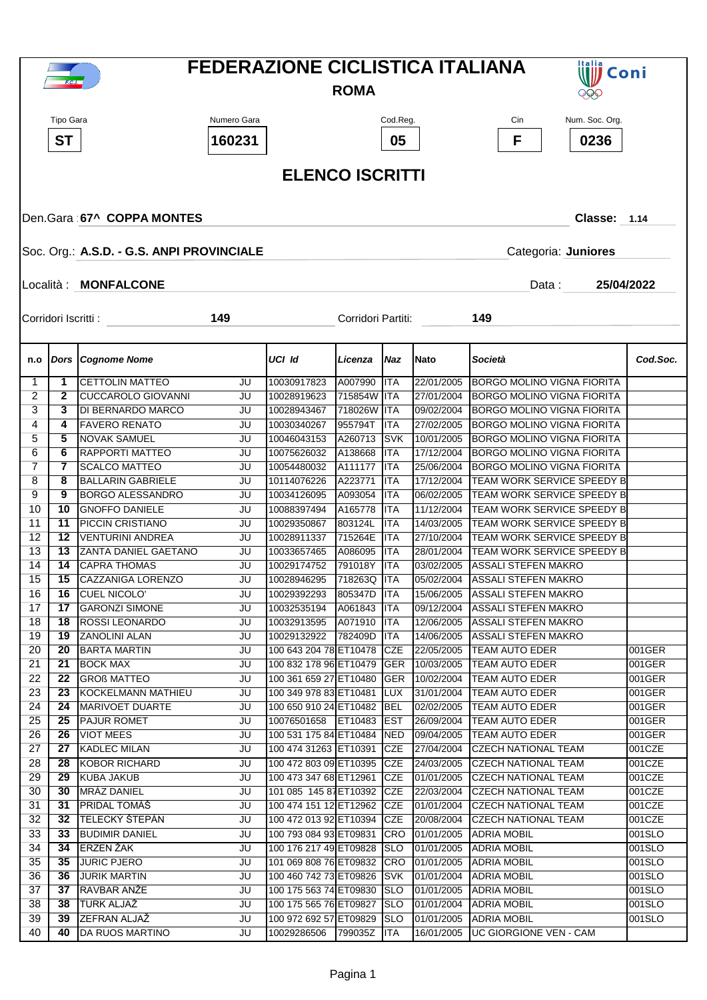|                 |                                                                  |                                                 |             | <b>FEDERAZIONE CICLISTICA ITALIANA</b>           | <b>Italia</b><br>Coni |                          |                          |                                                          |                  |  |
|-----------------|------------------------------------------------------------------|-------------------------------------------------|-------------|--------------------------------------------------|-----------------------|--------------------------|--------------------------|----------------------------------------------------------|------------------|--|
|                 | F.C.I.                                                           |                                                 | <b>ROMA</b> | <b>EEO</b>                                       |                       |                          |                          |                                                          |                  |  |
|                 |                                                                  |                                                 |             |                                                  |                       |                          |                          |                                                          |                  |  |
|                 | Tipo Gara                                                        |                                                 | Numero Gara |                                                  |                       | Cod.Reg.                 |                          | Cin<br>Num. Soc. Org.                                    |                  |  |
|                 | <b>ST</b>                                                        |                                                 | 160231      |                                                  |                       | 05                       |                          | F<br>0236                                                |                  |  |
|                 | <b>ELENCO ISCRITTI</b>                                           |                                                 |             |                                                  |                       |                          |                          |                                                          |                  |  |
|                 |                                                                  |                                                 |             |                                                  |                       |                          |                          |                                                          |                  |  |
|                 |                                                                  |                                                 |             |                                                  |                       |                          |                          |                                                          |                  |  |
|                 | Den.Gara 67^ COPPA MONTES<br><b>Classe: 1.14</b>                 |                                                 |             |                                                  |                       |                          |                          |                                                          |                  |  |
|                 | Soc. Org.: A.S.D. - G.S. ANPI PROVINCIALE<br>Categoria: Juniores |                                                 |             |                                                  |                       |                          |                          |                                                          |                  |  |
|                 |                                                                  |                                                 |             |                                                  |                       |                          |                          |                                                          |                  |  |
|                 |                                                                  | Località : MONFALCONE                           |             |                                                  |                       |                          |                          | Data:<br>25/04/2022                                      |                  |  |
|                 | Corridori Iscritti :                                             |                                                 | 149         |                                                  | Corridori Partiti:    |                          |                          | 149                                                      |                  |  |
|                 |                                                                  |                                                 |             |                                                  |                       |                          |                          |                                                          |                  |  |
| n.o             |                                                                  | <b>Dors Cognome Nome</b>                        |             | UCI Id                                           | Licenza               | Naz                      | <b>Nato</b>              | Società                                                  | Cod.Soc.         |  |
| 1               | 1                                                                | <b>CETTOLIN MATTEO</b>                          | JU          | 10030917823                                      | A007990               | <b>ITA</b>               | 22/01/2005               | <b>BORGO MOLINO VIGNA FIORITA</b>                        |                  |  |
| 2               | $\mathbf{2}$                                                     | <b>CUCCAROLO GIOVANNI</b>                       | JU          | 10028919623                                      | 715854W               | <b>ITA</b>               | 27/01/2004               | <b>BORGO MOLINO VIGNA FIORITA</b>                        |                  |  |
| 3               | 3                                                                | <b>DI BERNARDO MARCO</b>                        | JU          | 10028943467                                      | 718026W               | <b>ITA</b>               | 09/02/2004               | <b>BORGO MOLINO VIGNA FIORITA</b>                        |                  |  |
| 4               | 4                                                                | <b>FAVERO RENATO</b>                            | JU          | 10030340267                                      | 955794T               | ITA                      | 27/02/2005               | <b>BORGO MOLINO VIGNA FIORITA</b>                        |                  |  |
| 5               | 5                                                                | <b>NOVAK SAMUEL</b>                             | JU          | 10046043153                                      | A260713               | <b>SVK</b>               | 10/01/2005               | <b>BORGO MOLINO VIGNA FIORITA</b>                        |                  |  |
| 6               | 6                                                                | <b>RAPPORTI MATTEO</b>                          | JU          | 10075626032                                      | A138668               | ITA                      | 17/12/2004               | <b>BORGO MOLINO VIGNA FIORITA</b>                        |                  |  |
| 7               | 7                                                                | <b>SCALCO MATTEO</b>                            | JU          | 10054480032                                      | A111177               | <b>ITA</b>               | 25/06/2004               | <b>BORGO MOLINO VIGNA FIORITA</b>                        |                  |  |
| 8               | 8                                                                | <b>BALLARIN GABRIELE</b>                        | JU          | 10114076226                                      | A223771               | ITA                      | 17/12/2004               | TEAM WORK SERVICE SPEEDY B                               |                  |  |
| 9               | 9                                                                | <b>BORGO ALESSANDRO</b>                         | JU          | 10034126095                                      | A093054               | <b>ITA</b>               | 06/02/2005               | TEAM WORK SERVICE SPEEDY B                               |                  |  |
| 10              | 10                                                               | <b>GNOFFO DANIELE</b>                           | JU          | 10088397494                                      | A165778               | <b>ITA</b>               | 11/12/2004               | TEAM WORK SERVICE SPEEDY B                               |                  |  |
| 11              | 11                                                               | PICCIN CRISTIANO                                | JU          | 10029350867                                      | 803124L               | <b>ITA</b>               | 14/03/2005               | TEAM WORK SERVICE SPEEDY B                               |                  |  |
| 12<br>13        | 12<br>13                                                         | <b>VENTURINI ANDREA</b><br>ZANTA DANIEL GAETANO | JU          | 10028911337                                      | 715264E               | <b>ITA</b>               | 27/10/2004<br>28/01/2004 | TEAM WORK SERVICE SPEEDY B                               |                  |  |
| 14              | 14                                                               | <b>CAPRA THOMAS</b>                             | JU<br>JU    | 10033657465<br>10029174752                       | A086095<br>791018Y    | <b>ITA</b><br><b>ITA</b> | 03/02/2005               | TEAM WORK SERVICE SPEEDY B<br><b>ASSALI STEFEN MAKRO</b> |                  |  |
| 15              | 15                                                               | CAZZANIGA LORENZO                               | JU          | 10028946295                                      | 718263Q ITA           |                          | 05/02/2004               | <b>ASSALI STEFEN MAKRO</b>                               |                  |  |
| 16              | 16                                                               | CUEL NICOLO'                                    | JU          | 10029392293                                      | 805347D               | <b>ITA</b>               | 15/06/2005               | <b>ASSALI STEFEN MAKRO</b>                               |                  |  |
| 17              | 17                                                               | <b>GARONZI SIMONE</b>                           | JU          | 10032535194                                      | A061843               | ITA                      | 09/12/2004               | ASSALI STEFEN MAKRO                                      |                  |  |
| 18              | 18                                                               | <b>ROSSI LEONARDO</b>                           | JU          | 10032913595                                      | A071910               | <b>ITA</b>               | 12/06/2005               | <b>ASSALI STEFEN MAKRO</b>                               |                  |  |
| 19              | 19                                                               | <b>ZANOLINI ALAN</b>                            | JU          | 10029132922                                      | 782409D               | ITA                      | 14/06/2005               | ASSALI STEFEN MAKRO                                      |                  |  |
| 20              | 20                                                               | <b>BARTA MARTIN</b>                             | JU          | 100 643 204 78 ET10478                           |                       | <b>CZE</b>               | 22/05/2005               | <b>TEAM AUTO EDER</b>                                    | 001GER           |  |
| $\overline{21}$ | 21                                                               | <b>BOCK MAX</b>                                 | JU          | 100 832 178 96 ET10479                           |                       | <b>GER</b>               | 10/03/2005               | TEAM AUTO EDER                                           | 001GER           |  |
| 22              | 22                                                               | <b>GROß MATTEO</b>                              | JU          | 100 361 659 27 ET10480                           |                       | <b>GER</b>               | 10/02/2004               | <b>TEAM AUTO EDER</b>                                    | 001GER           |  |
| 23              | 23                                                               | KOCKELMANN MATHIEU                              | JU          | 100 349 978 83 ET10481                           |                       | <b>LUX</b>               | 31/01/2004               | <b>TEAM AUTO EDER</b>                                    | 001GER           |  |
| 24              | 24                                                               | MARIVOET DUARTE                                 | JU          | 100 650 910 24 ET10482                           |                       | <b>BEL</b>               | 02/02/2005               | <b>TEAM AUTO EDER</b>                                    | 001GER           |  |
| 25              | 25                                                               | <b>PAJUR ROMET</b>                              | JU          | 10076501658                                      | ET10483               | <b>EST</b>               | 26/09/2004               | <b>TEAM AUTO EDER</b>                                    | 001GER           |  |
| 26              | 26                                                               | <b>VIOT MEES</b>                                | JU          | 100 531 175 84 ET10484                           |                       | <b>NED</b>               | 09/04/2005               | <b>TEAM AUTO EDER</b>                                    | 001GER           |  |
| 27              | 27                                                               | <b>KADLEC MILAN</b>                             | JU          | 100 474 31263 ET10391                            |                       | <b>CZE</b>               | 27/04/2004               | <b>CZECH NATIONAL TEAM</b>                               | 001CZE           |  |
| 28              | 28                                                               | <b>KOBOR RICHARD</b>                            | JU          | 100 472 803 09 ET10395                           |                       | <b>CZE</b>               | 24/03/2005               | <b>CZECH NATIONAL TEAM</b>                               | 001CZE           |  |
| 29              | 29                                                               | <b>KUBA JAKUB</b>                               | JU          | 100 473 347 68 ET12961                           |                       | <b>CZE</b>               | 01/01/2005               | <b>CZECH NATIONAL TEAM</b>                               | 001CZE           |  |
| 30<br>31        | 30<br>31                                                         | MRÁZ DANIEL<br><b>PRIDAL TOMÁŠ</b>              | JU<br>JU    | 101 085 145 87 ET10392<br>100 474 151 12 ET12962 |                       | <b>CZE</b><br><b>CZE</b> | 22/03/2004<br>01/01/2004 | <b>CZECH NATIONAL TEAM</b><br><b>CZECH NATIONAL TEAM</b> | 001CZE<br>001CZE |  |
| 32              | 32                                                               | <b>TELECKÝ ŠTEPÁN</b>                           | JU          | 100 472 013 92 ET10394                           |                       | <b>CZE</b>               | 20/08/2004               | <b>CZECH NATIONAL TEAM</b>                               | 001CZE           |  |
| 33              | 33                                                               | <b>BUDIMIR DANIEL</b>                           | JU          | 100 793 084 93 ET09831                           |                       | <b>CRO</b>               | 01/01/2005               | <b>ADRIA MOBIL</b>                                       | 001SLO           |  |
| 34              | 34                                                               | <b>ERZEN ŽAK</b>                                | JU          | 100 176 217 49 ET09828                           |                       | <b>SLO</b>               | 01/01/2005               | <b>ADRIA MOBIL</b>                                       | 001SLO           |  |
| 35              | 35                                                               | <b>JURIC PJERO</b>                              | JU          | 101 069 808 76 ET09832                           |                       | <b>CRO</b>               | 01/01/2005               | <b>ADRIA MOBIL</b>                                       | 001SLO           |  |
| 36              | 36                                                               | <b>JURIK MARTIN</b>                             | JU          | 100 460 742 73 ET09826                           |                       | <b>SVK</b>               | 01/01/2004               | <b>ADRIA MOBIL</b>                                       | 001SLO           |  |
| 37              | 37                                                               | RAVBAR ANŽE                                     | JU          | 100 175 563 74 ET09830                           |                       | <b>SLO</b>               | 01/01/2005               | <b>ADRIA MOBIL</b>                                       | 001SLO           |  |
| 38              | 38                                                               | <b>TURK ALJAŽ</b>                               | JU          | 100 175 565 76 ET09827                           |                       | <b>SLO</b>               | 01/01/2004               | <b>ADRIA MOBIL</b>                                       | 001SLO           |  |
| 39              | 39                                                               | ZEFRAN ALJAŽ                                    | JU          | 100 972 692 57 ET09829                           |                       | <b>SLO</b>               | 01/01/2005               | <b>ADRIA MOBIL</b>                                       | 001SLO           |  |
| 40              | 40                                                               | DA RUOS MARTINO                                 | JU          | 10029286506                                      | 799035Z               | <b>ITA</b>               | 16/01/2005               | UC GIORGIONE VEN - CAM                                   |                  |  |
|                 |                                                                  |                                                 |             |                                                  |                       |                          |                          |                                                          |                  |  |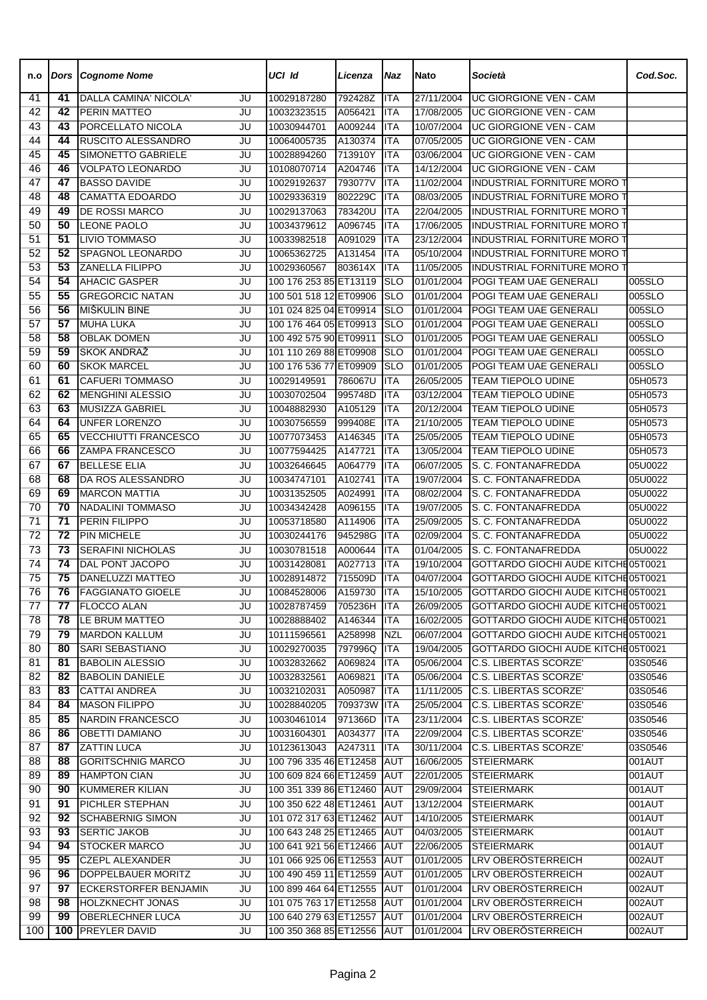| n.o             | Dors            | <b>Cognome Nome</b>                 |          | UCI Id                     | Licenza            | Naz         | <b>Nato</b>              | Società                                    | Cod.Soc.           |
|-----------------|-----------------|-------------------------------------|----------|----------------------------|--------------------|-------------|--------------------------|--------------------------------------------|--------------------|
| 41              | 41              | DALLA CAMINA' NICOLA'               | JU       | 10029187280                | 792428Z            | <b>ITA</b>  | 27/11/2004               | <b>UC GIORGIONE VEN - CAM</b>              |                    |
| 42              | $\overline{42}$ | PERIN MATTEO                        | JU       | 10032323515                | A056421            | <b>ITA</b>  | 17/08/2005               | UC GIORGIONE VEN - CAM                     |                    |
| 43              | 43              | PORCELLATO NICOLA                   | JU       | 10030944701                | A009244            | <b>ITA</b>  | 10/07/2004               | <b>UC GIORGIONE VEN - CAM</b>              |                    |
| 44              | 44              | RUSCITO ALESSANDRO                  | JU       | 10064005735                | A130374            | <b>ITA</b>  | 07/05/2005               | UC GIORGIONE VEN - CAM                     |                    |
| 45              | 45              | SIMONETTO GABRIELE                  | JU       | 10028894260                | 713910Y            | <b>ITA</b>  | 03/06/2004               | UC GIORGIONE VEN - CAM                     |                    |
| 46              | 46              | <b>VOLPATO LEONARDO</b>             | JU       | 10108070714                | A204746            | ITA         | 14/12/2004               | UC GIORGIONE VEN - CAM                     |                    |
| 47              | 47              | <b>BASSO DAVIDE</b>                 | JU       | 10029192637                | 793077V            | <b>ITA</b>  | 11/02/2004               | INDUSTRIAL FORNITURE MORO 1                |                    |
| 48              | 48              | <b>CAMATTA EDOARDO</b>              | JU       | 10029336319                | 802229C            | <b>ITA</b>  | 08/03/2005               | <b>INDUSTRIAL FORNITURE MORO 1</b>         |                    |
| 49              | 49              | DE ROSSI MARCO                      | JU       | 10029137063                | 783420U            | <b>ITA</b>  | 22/04/2005               | <b>INDUSTRIAL FORNITURE MORO T</b>         |                    |
| 50              | 50              | <b>LEONE PAOLO</b>                  | JU       | 10034379612                | A096745            | <b>ITA</b>  | 17/06/2005               | <b>INDUSTRIAL FORNITURE MORO T</b>         |                    |
| 51              | $\overline{51}$ | <b>LIVIO TOMMASO</b>                | JU       | 10033982518                | A091029            | <b>ITA</b>  | 23/12/2004               | INDUSTRIAL FORNITURE MORO T                |                    |
| 52              | 52              | SPAGNOL LEONARDO                    | JU       | 10065362725                | A131454            | <b>ITA</b>  | 05/10/2004               | <b>INDUSTRIAL FORNITURE MORO 1</b>         |                    |
| 53              | 53              | <b>ZANELLA FILIPPO</b>              | JU       | 10029360567                | 803614X            | <b>ITA</b>  | 11/05/2005               | INDUSTRIAL FORNITURE MORO T                |                    |
| 54              | 54              | <b>AHACIC GASPER</b>                | JU       | 100 176 253 85 ET13119     |                    | <b>SLO</b>  | 01/01/2004               | POGI TEAM UAE GENERALI                     | 005SLO             |
| 55              | 55              | <b>GREGORCIC NATAN</b>              | JU       | 100 501 518 12 ET09906     |                    | <b>SLO</b>  | 01/01/2004               | POGI TEAM UAE GENERALI                     | 005SLO             |
| 56              | 56              | MIŠKULIN BINE                       | JU       | 101 024 825 04 ET09914     |                    | <b>SLO</b>  | 01/01/2004               | POGI TEAM UAE GENERALI                     | 005SLO             |
| 57              | 57              | <b>MUHA LUKA</b>                    | JU       | 100 176 464 05 ET09913     |                    | <b>SLO</b>  | 01/01/2004               | POGI TEAM UAE GENERALI                     | 005SLO             |
| 58              | 58              | <b>OBLAK DOMEN</b>                  | JU       | 100 492 575 90 ET09911     |                    | <b>SLO</b>  | 01/01/2005               | POGI TEAM UAE GENERALI                     | 005SLO             |
| 59              | 59              | SKOK ANDRAŽ                         | JU       | 101 110 269 88 ET09908     |                    | <b>SLO</b>  | 01/01/2004               | POGI TEAM UAE GENERALI                     | 005SLO             |
| 60              | 60              | <b>SKOK MARCEL</b>                  | JU       | 100 176 536 77 ET09909     |                    | <b>SLO</b>  | 01/01/2005               | POGI TEAM UAE GENERALI                     | 005SLO             |
| 61              | 61              | <b>CAFUERI TOMMASO</b>              | JU       | 10029149591                | 786067U            | <b>ITA</b>  | 26/05/2005               | <b>TEAM TIEPOLO UDINE</b>                  | 05H0573            |
| 62              | 62              | <b>MENGHINI ALESSIO</b>             | JU       | 10030702504                | 995748D            | <b>ITA</b>  | 03/12/2004               | <b>TEAM TIEPOLO UDINE</b>                  | 05H0573            |
| 63              | 63              | MUSIZZA GABRIEL                     | JU       | 10048882930                | A105129            | <b>ITA</b>  | 20/12/2004               | TEAM TIEPOLO UDINE                         | 05H0573            |
| 64              | 64              | <b>UNFER LORENZO</b>                | JU       | 10030756559                | 999408E            | <b>ITA</b>  | 21/10/2005               | TEAM TIEPOLO UDINE                         | 05H0573            |
| 65              | 65              | <b>VECCHIUTTI FRANCESCO</b>         | JU       | 10077073453                | A146345            | <b>ITA</b>  | 25/05/2005               | TEAM TIEPOLO UDINE                         | 05H0573            |
| 66              | 66              | <b>ZAMPA FRANCESCO</b>              | JU       | 10077594425                | A147721            | <b>ITA</b>  | 13/05/2004               | <b>TEAM TIEPOLO UDINE</b>                  | 05H0573            |
| 67              | 67<br>68        | <b>BELLESE ELIA</b>                 | JU       | 10032646645                | A064779            | <b>ITA</b>  | 06/07/2005               | S. C. FONTANAFREDDA                        | 05U0022            |
| 68              | 69              | DA ROS ALESSANDRO                   | JU       | 10034747101                | A102741            | <b>ITA</b>  | 19/07/2004               | S. C. FONTANAFREDDA                        | 05U0022            |
| 69              | 70              | <b>MARCON MATTIA</b>                | JU       | 10031352505                | A024991            | <b>ITA</b>  | 08/02/2004<br>19/07/2005 | S. C. FONTANAFREDDA                        | 05U0022            |
| 70              | $\overline{71}$ | <b>NADALINI TOMMASO</b>             | JU       | 10034342428                | A096155            | <b>ITA</b>  |                          | S. C. FONTANAFREDDA                        | 05U0022<br>05U0022 |
| 71<br>72        | $\overline{72}$ | PERIN FILIPPO<br><b>PIN MICHELE</b> | JU       | 10053718580<br>10030244176 | A114906            | <b>ITA</b>  | 25/09/2005               | S. C. FONTANAFREDDA<br>S. C. FONTANAFREDDA |                    |
| 73              | 73              | <b>SERAFINI NICHOLAS</b>            | JU       |                            | 945298G<br>A000644 | ITA         | 02/09/2004<br>01/04/2005 | S. C. FONTANAFREDDA                        | 05U0022<br>05U0022 |
| 74              | 74              | DAL PONT JACOPO                     | JU<br>JU | 10030781518<br>10031428081 | A027713            | ITA<br>ITA  | 19/10/2004               | GOTTARDO GIOCHI AUDE KITCHE05T0021         |                    |
| 75              | 75              | <b>DANELUZZI MATTEO</b>             | JU       | 10028914872                | 715509D            | <b>ITA</b>  | 04/07/2004               | GOTTARDO GIOCHI AUDE KITCHE05T0021         |                    |
| $\overline{76}$ | 76              | <b>FAGGIANATO GIOELE</b>            | JU       | 10084528006                | A159730            | <b>ITA</b>  | 15/10/2005               | GOTTARDO GIOCHI AUDE KITCHE05T0021         |                    |
| 77              | 77              | <b>FLOCCO ALAN</b>                  | JU       | 10028787459                | 705236H            | <b>ITA</b>  | 26/09/2005               | GOTTARDO GIOCHI AUDE KITCHE05T0021         |                    |
| 78              | 78              | LE BRUM MATTEO                      | JU       | 10028888402                | A146344            | <b>ITA</b>  | 16/02/2005               | GOTTARDO GIOCHI AUDE KITCHE05T0021         |                    |
| 79              | 79              | <b>MARDON KALLUM</b>                | JU       | 10111596561                | A258998            | <b>NZL</b>  | 06/07/2004               | GOTTARDO GIOCHI AUDE KITCHE05T0021         |                    |
| 80              | 80              | SARI SEBASTIANO                     | JU       | 10029270035                | 797996Q            | <b>ITA</b>  | 19/04/2005               | GOTTARDO GIOCHI AUDE KITCHE05T0021         |                    |
| 81              | 81              | <b>BABOLIN ALESSIO</b>              | JU       | 10032832662                | A069824            | <b>ITA</b>  | 05/06/2004               | C.S. LIBERTAS SCORZE'                      | 03S0546            |
| 82              | 82              | <b>BABOLIN DANIELE</b>              | JU       | 10032832561                | A069821            | <b>ITA</b>  | 05/06/2004               | C.S. LIBERTAS SCORZE'                      | 03S0546            |
| 83              | 83              | <b>CATTAI ANDREA</b>                | JU       | 10032102031                | A050987            | <b>ITA</b>  | 11/11/2005               | C.S. LIBERTAS SCORZE'                      | 03S0546            |
| 84              | 84              | <b>MASON FILIPPO</b>                | JU       | 10028840205                | 709373W            | <b>ITA</b>  | 25/05/2004               | C.S. LIBERTAS SCORZE'                      | 03S0546            |
| 85              | 85              | NARDIN FRANCESCO                    | JU       | 10030461014                | 971366D            | <b>ITA</b>  | 23/11/2004               | C.S. LIBERTAS SCORZE'                      | 03S0546            |
| 86              | 86              | <b>OBETTI DAMIANO</b>               | JU       | 10031604301                | A034377            | <b>ITA</b>  | 22/09/2004               | C.S. LIBERTAS SCORZE'                      | 03S0546            |
| 87              | 87              | <b>ZATTIN LUCA</b>                  | JU       | 10123613043                | A247311            | ITA         | 30/11/2004               | <b>C.S. LIBERTAS SCORZE'</b>               | 03S0546            |
| 88              | 88              | <b>GORITSCHNIG MARCO</b>            | JU       | 100 796 335 46 ET12458     |                    | <b>AUT</b>  | 16/06/2005               | <b>STEIERMARK</b>                          | 001AUT             |
| 89              | 89              | <b>HAMPTON CIAN</b>                 | JU       | 100 609 824 66 ET12459     |                    | <b>AUT</b>  | 22/01/2005               | <b>STEIERMARK</b>                          | 001AUT             |
| 90              | 90              | KUMMERER KILIAN                     | JU       | 100 351 339 86 ET12460     |                    | <b>AUT</b>  | 29/09/2004               | <b>STEIERMARK</b>                          | 001AUT             |
| 91              | 91              | PICHLER STEPHAN                     | JU       | 100 350 622 48 ET12461     |                    | AUT         | 13/12/2004               | <b>STEIERMARK</b>                          | 001AUT             |
| 92              | 92              | <b>SCHABERNIG SIMON</b>             | JU       | 101 072 317 63 ET12462     |                    | AUT         | 14/10/2005               | <b>STEIERMARK</b>                          | 001AUT             |
| 93              | 93              | <b>SERTIC JAKOB</b>                 | JU       | 100 643 248 25 ET12465     |                    | AUT         | 04/03/2005               | <b>STEIERMARK</b>                          | 001AUT             |
| 94              | 94              | <b>STOCKER MARCO</b>                | JU       | 100 641 921 56 ET12466     |                    | AUT         | 22/06/2005               | <b>STEIERMARK</b>                          | 001AUT             |
| 95              | 95              | <b>CZEPL ALEXANDER</b>              | JU       | 101 066 925 06 ET12553     |                    | <b>AUT</b>  | 01/01/2005               | LRV OBERÖSTERREICH                         | 002AUT             |
| 96              | 96              | DOPPELBAUER MORITZ                  | JU       | 100 490 459 11 ET12559     |                    | AUT         | 01/01/2005               | LRV OBERÖSTERREICH                         | 002AUT             |
| 97              | 97              | <b>ECKERSTORFER BENJAMIN</b>        | JU       | 100 899 464 64 ET12555     |                    | <b>AUT</b>  | 01/01/2004               | LRV OBERÖSTERREICH                         | 002AUT             |
| 98              | 98              | <b>HOLZKNECHT JONAS</b>             | JU       | 101 075 763 17 ET12558     |                    | <b>IAUT</b> | 01/01/2004               | LRV OBERÖSTERREICH                         | 002AUT             |
| 99              | 99              | <b>OBERLECHNER LUCA</b>             | JU       | 100 640 279 63 ET12557     |                    | <b>IAUT</b> | 01/01/2004               | LRV OBERÖSTERREICH                         | 002AUT             |
| 100             | 100             | <b>PREYLER DAVID</b>                | JU       | 100 350 368 85 ET12556     |                    | <b>AUT</b>  | 01/01/2004               | LRV OBERÖSTERREICH                         | 002AUT             |